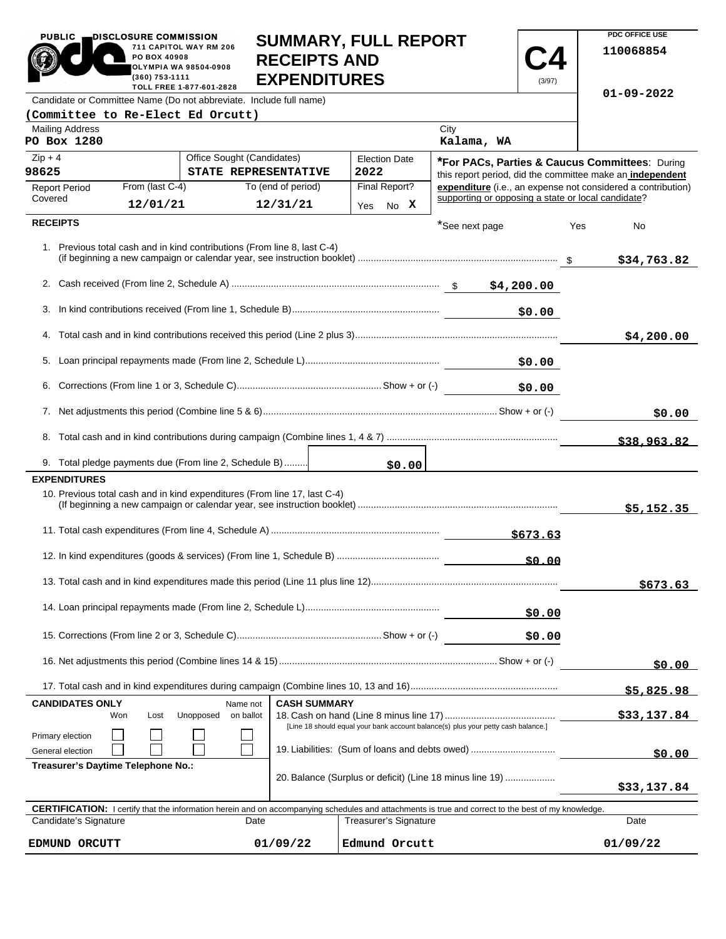| <b>PUBLIC</b>                                                                                                                                                                                                        | DISCLOSURE COMMISSION<br>PO BOX 40908                                                                                      | 711 CAPITOL WAY RM 206                                                    | <b>RECEIPTS AND</b> | <b>SUMMARY, FULL REPORT</b>  |                | $\mathbf{Z}$ | <b>PDC OFFICE USE</b><br>110068854                                                                                        |
|----------------------------------------------------------------------------------------------------------------------------------------------------------------------------------------------------------------------|----------------------------------------------------------------------------------------------------------------------------|---------------------------------------------------------------------------|---------------------|------------------------------|----------------|--------------|---------------------------------------------------------------------------------------------------------------------------|
|                                                                                                                                                                                                                      | OLYMPIA WA 98504-0908<br>(360) 753-1111                                                                                    |                                                                           | <b>EXPENDITURES</b> |                              |                | (3/97)       |                                                                                                                           |
| Candidate or Committee Name (Do not abbreviate. Include full name)                                                                                                                                                   |                                                                                                                            | TOLL FREE 1-877-601-2828                                                  |                     |                              |                |              | $01 - 09 - 2022$                                                                                                          |
| (Committee to Re-Elect Ed Orcutt)<br><b>Mailing Address</b>                                                                                                                                                          |                                                                                                                            |                                                                           |                     |                              | City           |              |                                                                                                                           |
| PO Box 1280                                                                                                                                                                                                          |                                                                                                                            |                                                                           |                     |                              | Kalama, WA     |              |                                                                                                                           |
| $Zip + 4$<br>98625                                                                                                                                                                                                   |                                                                                                                            | Office Sought (Candidates)<br>STATE REPRESENTATIVE                        |                     | <b>Election Date</b><br>2022 |                |              | *For PACs, Parties & Caucus Committees: During                                                                            |
| <b>Report Period</b>                                                                                                                                                                                                 | From (last C-4)                                                                                                            |                                                                           | To (end of period)  | Final Report?                |                |              | this report period, did the committee make an independent<br>expenditure (i.e., an expense not considered a contribution) |
| Covered                                                                                                                                                                                                              | 12/01/21                                                                                                                   |                                                                           | 12/31/21            | Yes No X                     |                |              | supporting or opposing a state or local candidate?                                                                        |
| <b>RECEIPTS</b>                                                                                                                                                                                                      |                                                                                                                            |                                                                           |                     |                              | *See next page |              | Yes<br>No                                                                                                                 |
|                                                                                                                                                                                                                      |                                                                                                                            | 1. Previous total cash and in kind contributions (From line 8, last C-4)  |                     |                              |                |              | \$34,763.82                                                                                                               |
|                                                                                                                                                                                                                      |                                                                                                                            |                                                                           |                     |                              |                |              |                                                                                                                           |
|                                                                                                                                                                                                                      |                                                                                                                            |                                                                           |                     |                              |                | \$0.00       |                                                                                                                           |
|                                                                                                                                                                                                                      |                                                                                                                            |                                                                           |                     |                              |                |              | \$4,200.00                                                                                                                |
|                                                                                                                                                                                                                      |                                                                                                                            |                                                                           |                     |                              |                | \$0.00       |                                                                                                                           |
|                                                                                                                                                                                                                      | \$0.00                                                                                                                     |                                                                           |                     |                              |                |              |                                                                                                                           |
|                                                                                                                                                                                                                      |                                                                                                                            |                                                                           |                     |                              |                | \$0.00       |                                                                                                                           |
|                                                                                                                                                                                                                      |                                                                                                                            |                                                                           |                     |                              |                |              | \$38,963.82                                                                                                               |
|                                                                                                                                                                                                                      |                                                                                                                            | 9. Total pledge payments due (From line 2, Schedule B)                    |                     | \$0.00                       |                |              |                                                                                                                           |
| <b>EXPENDITURES</b>                                                                                                                                                                                                  |                                                                                                                            |                                                                           |                     |                              |                |              |                                                                                                                           |
|                                                                                                                                                                                                                      |                                                                                                                            | 10. Previous total cash and in kind expenditures (From line 17, last C-4) |                     |                              |                |              | \$5,152.35                                                                                                                |
|                                                                                                                                                                                                                      |                                                                                                                            |                                                                           |                     |                              |                | \$673.63     |                                                                                                                           |
| \$0.00                                                                                                                                                                                                               |                                                                                                                            |                                                                           |                     |                              |                |              |                                                                                                                           |
|                                                                                                                                                                                                                      |                                                                                                                            |                                                                           |                     |                              |                |              | \$673.63                                                                                                                  |
|                                                                                                                                                                                                                      |                                                                                                                            |                                                                           |                     |                              |                | \$0.00       |                                                                                                                           |
|                                                                                                                                                                                                                      |                                                                                                                            |                                                                           |                     |                              |                | \$0.00       |                                                                                                                           |
|                                                                                                                                                                                                                      |                                                                                                                            |                                                                           |                     |                              |                | \$0.00       |                                                                                                                           |
|                                                                                                                                                                                                                      |                                                                                                                            |                                                                           |                     |                              |                |              | \$5,825.98                                                                                                                |
| <b>CASH SUMMARY</b><br><b>CANDIDATES ONLY</b><br>Name not                                                                                                                                                            |                                                                                                                            |                                                                           |                     |                              |                |              |                                                                                                                           |
| Primary election                                                                                                                                                                                                     | Unopposed<br>Won<br>Lost<br>on ballot<br>[Line 18 should equal your bank account balance(s) plus your petty cash balance.] |                                                                           |                     |                              |                | \$33,137.84  |                                                                                                                           |
| General election                                                                                                                                                                                                     |                                                                                                                            | 19. Liabilities: (Sum of loans and debts owed)                            |                     |                              |                |              | \$0.00                                                                                                                    |
| Treasurer's Daytime Telephone No.:<br>20. Balance (Surplus or deficit) (Line 18 minus line 19)                                                                                                                       |                                                                                                                            |                                                                           |                     |                              | \$33,137.84    |              |                                                                                                                           |
|                                                                                                                                                                                                                      |                                                                                                                            |                                                                           |                     |                              |                |              |                                                                                                                           |
| <b>CERTIFICATION:</b> I certify that the information herein and on accompanying schedules and attachments is true and correct to the best of my knowledge.<br>Candidate's Signature<br>Treasurer's Signature<br>Date |                                                                                                                            |                                                                           |                     |                              |                |              | Date                                                                                                                      |
| EDMUND ORCUTT                                                                                                                                                                                                        | 01/09/22<br>Edmund Orcutt                                                                                                  |                                                                           |                     |                              |                |              | 01/09/22                                                                                                                  |